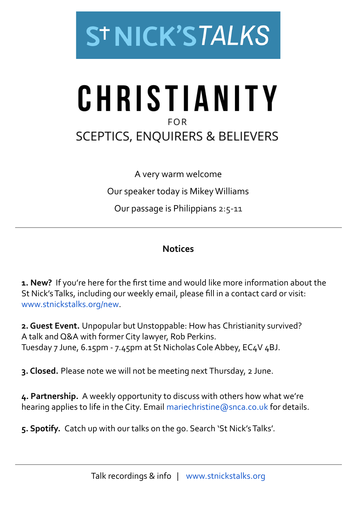

## CHRISTIANITY **FOR SCEPTICS, ENQUIRERS & BELIEVERS**

A very warm welcome Our speaker today is MikeyWilliams Our passage is Philippians 2:5-11

## **Notices**

**1. New?** If you're here for the first time and would like more information about the St Nick's Talks, including our weekly email, please fill in a contact card or visit: [www.stnickstalks.org/new](http://www.stnickstalks.org/new).

**2. Guest Event.** Unpopular but Unstoppable: How has Christianity survived? A talk and Q&A with former City lawyer, Rob Perkins. Tuesday 7 June, 6.15pm - 7.45pm at St Nicholas Cole Abbey, EC4V 4BJ.

**3. Closed.** Please note we will not be meeting next Thursday, 2 June.

**4. Partnership.** A weekly opportunity to discuss with others how what we're hearing applies to life in the City. Email [mariechristine@snca.co.uk](mailto:mariechristine@snca.co.uk) for details.

**5. Spotify.** Catch up with our talks on the go. Search 'St Nick's Talks'.